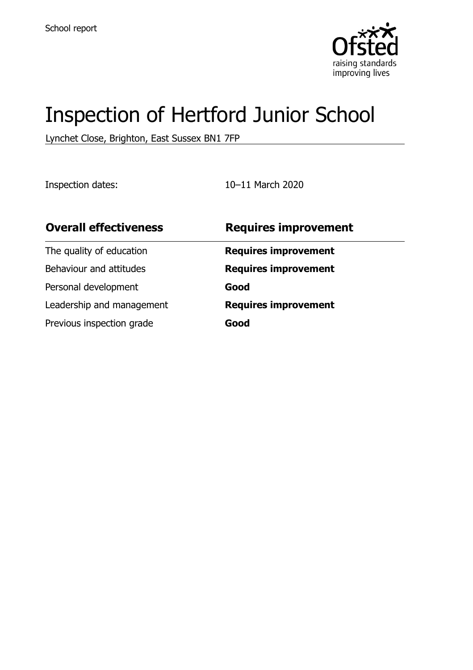

# Inspection of Hertford Junior School

Lynchet Close, Brighton, East Sussex BN1 7FP

Inspection dates: 10–11 March 2020

| <b>Overall effectiveness</b> | <b>Requires improvement</b> |
|------------------------------|-----------------------------|
| The quality of education     | <b>Requires improvement</b> |
| Behaviour and attitudes      | <b>Requires improvement</b> |
| Personal development         | Good                        |
| Leadership and management    | <b>Requires improvement</b> |
| Previous inspection grade    | Good                        |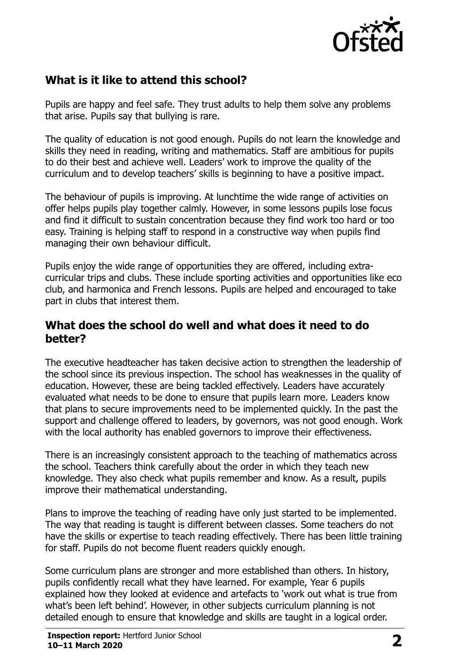

## **What is it like to attend this school?**

Pupils are happy and feel safe. They trust adults to help them solve any problems that arise. Pupils say that bullying is rare.

The quality of education is not good enough. Pupils do not learn the knowledge and skills they need in reading, writing and mathematics. Staff are ambitious for pupils to do their best and achieve well. Leaders' work to improve the quality of the curriculum and to develop teachers' skills is beginning to have a positive impact.

The behaviour of pupils is improving. At lunchtime the wide range of activities on offer helps pupils play together calmly. However, in some lessons pupils lose focus and find it difficult to sustain concentration because they find work too hard or too easy. Training is helping staff to respond in a constructive way when pupils find managing their own behaviour difficult.

Pupils enjoy the wide range of opportunities they are offered, including extracurricular trips and clubs. These include sporting activities and opportunities like eco club, and harmonica and French lessons. Pupils are helped and encouraged to take part in clubs that interest them.

#### **What does the school do well and what does it need to do better?**

The executive headteacher has taken decisive action to strengthen the leadership of the school since its previous inspection. The school has weaknesses in the quality of education. However, these are being tackled effectively. Leaders have accurately evaluated what needs to be done to ensure that pupils learn more. Leaders know that plans to secure improvements need to be implemented quickly. In the past the support and challenge offered to leaders, by governors, was not good enough. Work with the local authority has enabled governors to improve their effectiveness.

There is an increasingly consistent approach to the teaching of mathematics across the school. Teachers think carefully about the order in which they teach new knowledge. They also check what pupils remember and know. As a result, pupils improve their mathematical understanding.

Plans to improve the teaching of reading have only just started to be implemented. The way that reading is taught is different between classes. Some teachers do not have the skills or expertise to teach reading effectively. There has been little training for staff. Pupils do not become fluent readers quickly enough.

Some curriculum plans are stronger and more established than others. In history, pupils confidently recall what they have learned. For example, Year 6 pupils explained how they looked at evidence and artefacts to 'work out what is true from what's been left behind'. However, in other subjects curriculum planning is not detailed enough to ensure that knowledge and skills are taught in a logical order.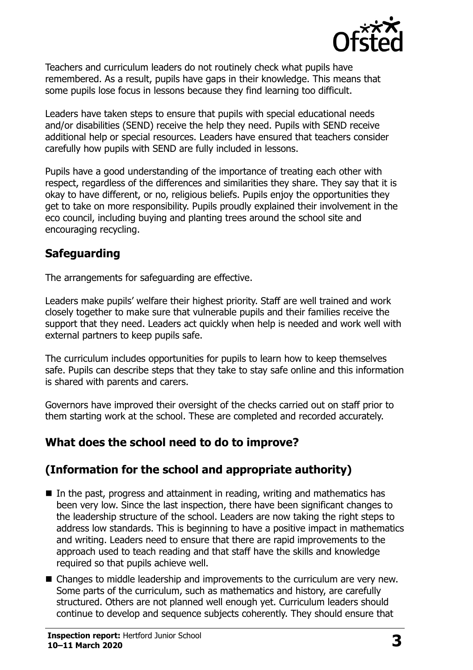

Teachers and curriculum leaders do not routinely check what pupils have remembered. As a result, pupils have gaps in their knowledge. This means that some pupils lose focus in lessons because they find learning too difficult.

Leaders have taken steps to ensure that pupils with special educational needs and/or disabilities (SEND) receive the help they need. Pupils with SEND receive additional help or special resources. Leaders have ensured that teachers consider carefully how pupils with SEND are fully included in lessons.

Pupils have a good understanding of the importance of treating each other with respect, regardless of the differences and similarities they share. They say that it is okay to have different, or no, religious beliefs. Pupils enjoy the opportunities they get to take on more responsibility. Pupils proudly explained their involvement in the eco council, including buying and planting trees around the school site and encouraging recycling.

## **Safeguarding**

The arrangements for safeguarding are effective.

Leaders make pupils' welfare their highest priority. Staff are well trained and work closely together to make sure that vulnerable pupils and their families receive the support that they need. Leaders act quickly when help is needed and work well with external partners to keep pupils safe.

The curriculum includes opportunities for pupils to learn how to keep themselves safe. Pupils can describe steps that they take to stay safe online and this information is shared with parents and carers.

Governors have improved their oversight of the checks carried out on staff prior to them starting work at the school. These are completed and recorded accurately.

## **What does the school need to do to improve?**

## **(Information for the school and appropriate authority)**

- In the past, progress and attainment in reading, writing and mathematics has been very low. Since the last inspection, there have been significant changes to the leadership structure of the school. Leaders are now taking the right steps to address low standards. This is beginning to have a positive impact in mathematics and writing. Leaders need to ensure that there are rapid improvements to the approach used to teach reading and that staff have the skills and knowledge required so that pupils achieve well.
- Changes to middle leadership and improvements to the curriculum are very new. Some parts of the curriculum, such as mathematics and history, are carefully structured. Others are not planned well enough yet. Curriculum leaders should continue to develop and sequence subjects coherently. They should ensure that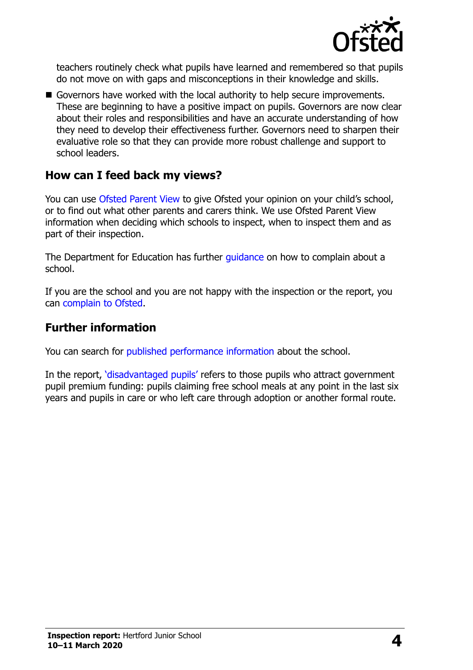

teachers routinely check what pupils have learned and remembered so that pupils do not move on with gaps and misconceptions in their knowledge and skills.

Governors have worked with the local authority to help secure improvements. These are beginning to have a positive impact on pupils. Governors are now clear about their roles and responsibilities and have an accurate understanding of how they need to develop their effectiveness further. Governors need to sharpen their evaluative role so that they can provide more robust challenge and support to school leaders.

#### **How can I feed back my views?**

You can use [Ofsted Parent View](http://parentview.ofsted.gov.uk/) to give Ofsted your opinion on your child's school, or to find out what other parents and carers think. We use Ofsted Parent View information when deciding which schools to inspect, when to inspect them and as part of their inspection.

The Department for Education has further [guidance](http://www.gov.uk/complain-about-school) on how to complain about a school.

If you are the school and you are not happy with the inspection or the report, you can [complain to Ofsted.](http://www.gov.uk/complain-ofsted-report)

#### **Further information**

You can search for [published performance information](http://www.compare-school-performance.service.gov.uk/) about the school.

In the report, '[disadvantaged pupils](http://www.gov.uk/guidance/pupil-premium-information-for-schools-and-alternative-provision-settings)' refers to those pupils who attract government pupil premium funding: pupils claiming free school meals at any point in the last six years and pupils in care or who left care through adoption or another formal route.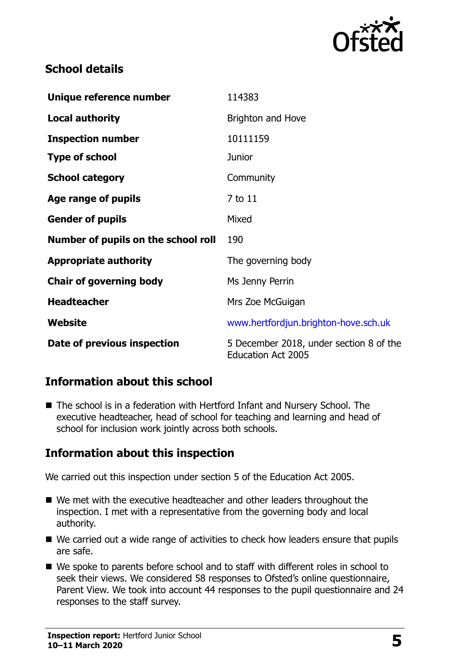

## **School details**

| Unique reference number             | 114383                                                               |
|-------------------------------------|----------------------------------------------------------------------|
| <b>Local authority</b>              | Brighton and Hove                                                    |
| <b>Inspection number</b>            | 10111159                                                             |
| <b>Type of school</b>               | <b>Junior</b>                                                        |
| <b>School category</b>              | Community                                                            |
| Age range of pupils                 | 7 to 11                                                              |
| <b>Gender of pupils</b>             | Mixed                                                                |
| Number of pupils on the school roll | 190                                                                  |
| <b>Appropriate authority</b>        | The governing body                                                   |
| <b>Chair of governing body</b>      | Ms Jenny Perrin                                                      |
| <b>Headteacher</b>                  | Mrs Zoe McGuigan                                                     |
| Website                             | www.hertfordjun.brighton-hove.sch.uk                                 |
| Date of previous inspection         | 5 December 2018, under section 8 of the<br><b>Education Act 2005</b> |

## **Information about this school**

■ The school is in a federation with Hertford Infant and Nursery School. The executive headteacher, head of school for teaching and learning and head of school for inclusion work jointly across both schools.

### **Information about this inspection**

We carried out this inspection under section 5 of the Education Act 2005.

- We met with the executive headteacher and other leaders throughout the inspection. I met with a representative from the governing body and local authority.
- We carried out a wide range of activities to check how leaders ensure that pupils are safe.
- We spoke to parents before school and to staff with different roles in school to seek their views. We considered 58 responses to Ofsted's online questionnaire, Parent View. We took into account 44 responses to the pupil questionnaire and 24 responses to the staff survey.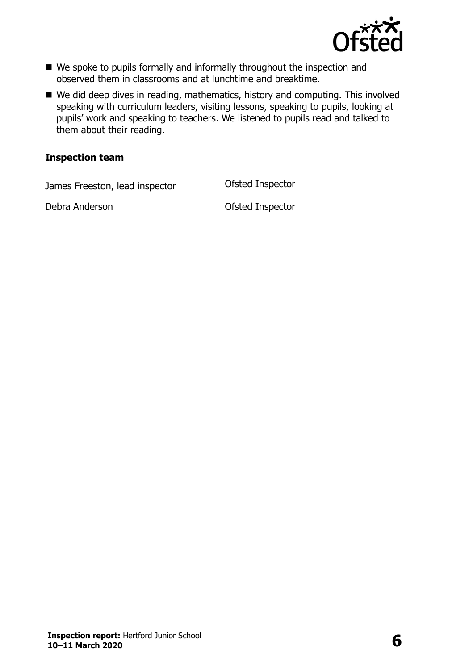

- We spoke to pupils formally and informally throughout the inspection and observed them in classrooms and at lunchtime and breaktime.
- We did deep dives in reading, mathematics, history and computing. This involved speaking with curriculum leaders, visiting lessons, speaking to pupils, looking at pupils' work and speaking to teachers. We listened to pupils read and talked to them about their reading.

#### **Inspection team**

James Freeston, lead inspector Ofsted Inspector

Debra Anderson **Ofsted Inspector**